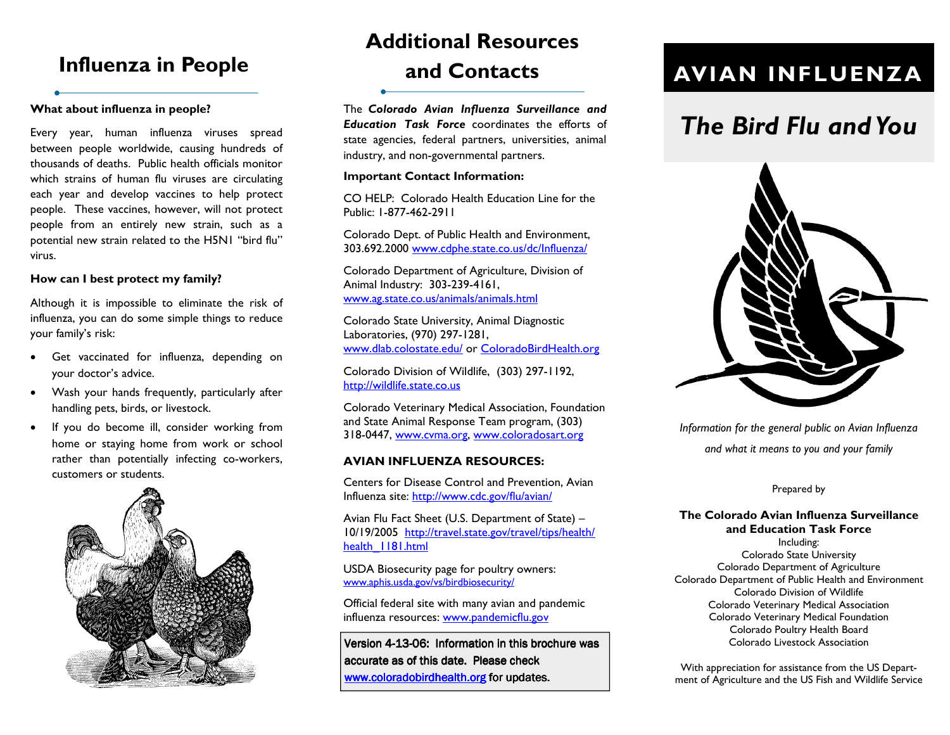## What about influenza in people?

Every year, human influenza viruses spread between people worldwide, causing hundreds of thousands of deaths. Public health officials monitor which strains of human flu viruses are circulating each year and develop vaccines to help protect people. These vaccines, however, will not protect people from an entirely new strain, such as a potential new strain related to the H5N1 "bird flu"virus.

### How can I best protect my family?

Although it is impossible to eliminate the risk of influenza, you can do some simple things to reduce your family's risk:

- Get vaccinated for influenza, depending on your doctor's advice.
- Wash your hands frequently, particularly after handling pets, birds, or livestock.
- If you do become ill, consider working from home or staying home from work or school rather than potentially infecting co-workers, customers or students.



# Influenza in People 2012 and Contacts AVIAN INFLUENZA Additional Resources and Contacts

The Colorado Avian Influenza Surveillance and Education Task Force coordinates the efforts of state agencies, federal partners, universities, animal industry, and non-governmental partners.

### Important Contact Information:

CO HELP: Colorado Health Education Line for the Public: 1-877-462-2911

Colorado Dept. of Public Health and Environment, 303.692.2000 www.cdphe.state.co.us/dc/Influenza/

Colorado Department of Agriculture, Division of Animal Industry: 303-239-4161, www.ag.state.co.us/animals/animals.html

Colorado State University, Animal Diagnostic Laboratories, (970) 297-1281, www.dlab.colostate.edu/ or ColoradoBirdHealth.org

Colorado Division of Wildlife, (303) 297-1192, http://wildlife.state.co.us

Colorado Veterinary Medical Association, Foundationand State Animal Response Team program, (303) 318-0447, www.cvma.org, www.coloradosart.org

### AVIAN INFLUENZA RESOURCES:

Centers for Disease Control and Prevention, Avian Influenza site: http://www.cdc.gov/flu/avian/

Avian Flu Fact Sheet (U.S. Department of State) – 10/19/2005 http://travel.state.gov/travel/tips/health/ health 1181.html

USDA Biosecurity page for poultry owners: www.aphis.usda.gov/vs/birdbiosecurity/

Official federal site with many avian and pandemic influenza resources: www.pandemicflu.gov

Version 4-13-06: Information in this brochure was accurate as of this date. Please check www.coloradobirdhealth.org for updates.

# The Bird Flu and You



Information for the general public on Avian Influenza and what it means to you and your family

### Prepared by

# The Colorado Avian Influenza Surveillance and Education Task Force

Including: Colorado State University Colorado Department of Agriculture Colorado Department of Public Health and Environment Colorado Division of Wildlife Colorado Veterinary Medical Association Colorado Veterinary Medical Foundation Colorado Poultry Health Board Colorado Livestock Association

With appreciation for assistance from the US Department of Agriculture and the US Fish and Wildlife Service